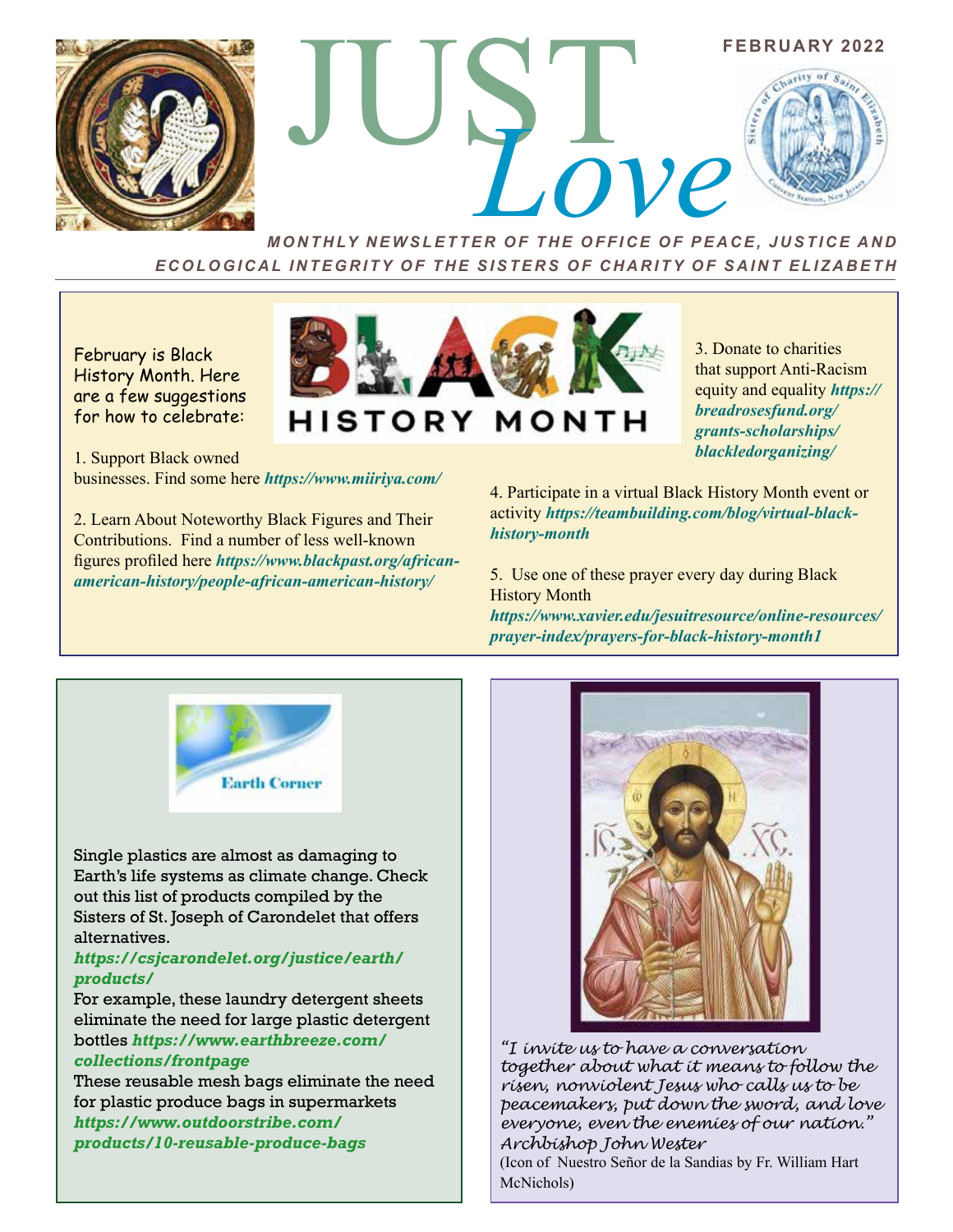

FEBRUARY 2022

*MONTHLY NEWSLETTER OF THE OFFICE OF PEACE, JUSTICE AND ECOLOGICAL INTEGRITY OF THE SISTERS OF CHARITY OF SAINT ELIZABETH*

**HISTORY MONTH** 

February is Black History Month. Here are a few suggestions for how to celebrate:

1. Support Black owned businesses. Find some here *https://www.miiriya.com/* 

2. Learn About Noteworthy Black Figures and Their Contributions. Find a number of less well-known figures profiled here *https://www.blackpast.org/africanamerican-history/people-african-american-history/*

3. Donate to charities that support Anti-Racism equity and equality *https:// breadrosesfund.org/ grants-scholarships/ blackledorganizing/* 

**FEBRUARY 2022** 

4. Participate in a virtual Black History Month event or activity *https://teambuilding.com/blog/virtual-blackhistory-month*

5. Use one of these prayer every day during Black History Month

*https://www.xavier.edu/jesuitresource/online-resources/ prayer-index/prayers-for-black-history-month1* 



Single plastics are almost as damaging to Earth's life systems as climate change. Check out this list of products compiled by the Sisters of St. Joseph of Carondelet that offers alternatives.

## *https://csjcarondelet.org/justice/earth/ products/*

For example, these laundry detergent sheets eliminate the need for large plastic detergent bottles *https://www.earthbreeze.com/ collections/frontpage*

These reusable mesh bags eliminate the need for plastic produce bags in supermarkets *https://www.outdoorstribe.com/ products/10-reusable-produce-bags* 



*"I invite us to have a conversation together about what it means to follow the risen, nonviolent Jesus who calls us to be peacemakers, put down the sword, and love everyone, even the enemies of our nation." Archbishop John Wester*

(Icon of Nuestro Señor de la Sandias by Fr. William Hart McNichols)